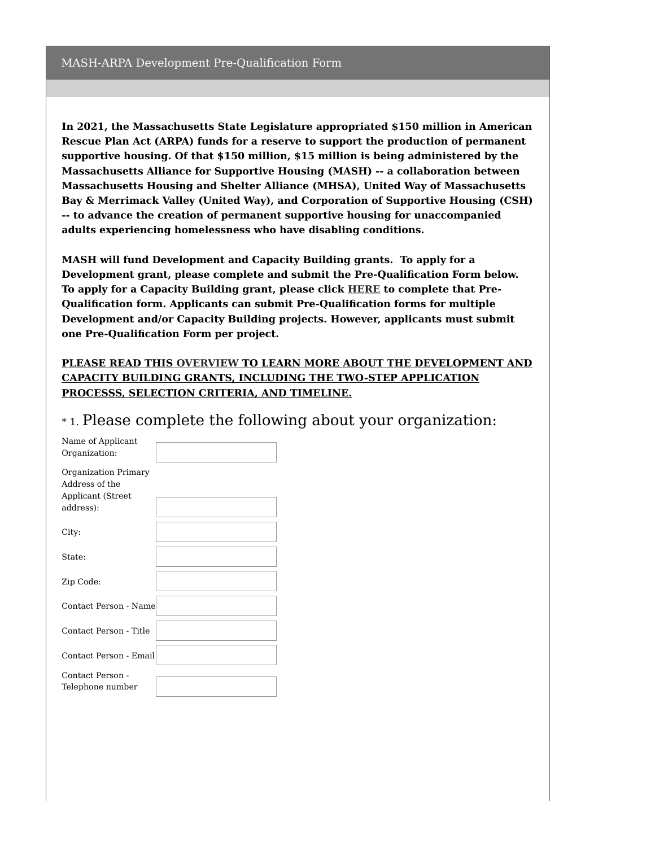**In 2021, the Massachusetts State Legislature appropriated \$150 million in American Rescue Plan Act (ARPA) funds for a reserve to support the production of permanent supportive housing. Of that \$150 million, \$15 million is being administered by the Massachusetts Alliance for Supportive Housing (MASH) -- a collaboration between Massachusetts Housing and Shelter Alliance (MHSA), United Way of Massachusetts Bay & Merrimack Valley (United Way), and Corporation of Supportive Housing (CSH) -- to advance the creation of permanent supportive housing for unaccompanied adults experiencing homelessness who have disabling conditions.**

**MASH will fund Development and Capacity Building grants. To apply for a Development grant, please complete and submit the Pre-Qualification Form below. To apply for a Capacity Building grant, please click [HERE](https://www.surveymonkey.com/r/MASH_CAPACITY_BUILDING) to complete that Pre-Qualification form. Applicants can submit Pre-Qualification forms for multiple Development and/or Capacity Building projects. However, applicants must submit one Pre-Qualification Form per project.**

## **PLEASE READ THIS [OVERVIEW](https://mhsa.net/wp-content/uploads/2022/06/MASH-ARPA-Document.pdf) TO LEARN MORE ABOUT THE DEVELOPMENT AND CAPACITY BUILDING GRANTS, INCLUDING THE TWO-STEP APPLICATION PROCESSS, SELECTION CRITERIA, AND TIMELINE.**

|  | *1. Please complete the following about your organization: |  |  |  |
|--|------------------------------------------------------------|--|--|--|
|  |                                                            |  |  |  |

| Name of Applicant      |  |
|------------------------|--|
| Organization:          |  |
|                        |  |
| Organization Primary   |  |
| Address of the         |  |
| Applicant (Street      |  |
| address):              |  |
|                        |  |
|                        |  |
| City:                  |  |
|                        |  |
| State:                 |  |
|                        |  |
| Zip Code:              |  |
|                        |  |
| Contact Person - Name  |  |
|                        |  |
|                        |  |
| Contact Person - Title |  |
|                        |  |
| Contact Person - Email |  |
|                        |  |
| Contact Person -       |  |
| Telephone number       |  |
|                        |  |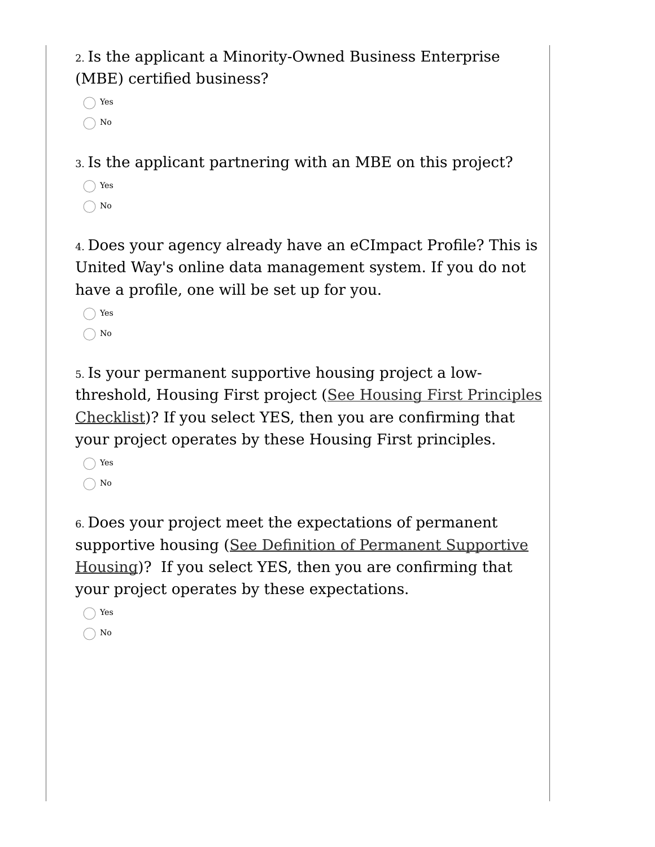2. Is the applicant a Minority-Owned Business Enterprise (MBE) certified business?

Yes  $\bigcap$  No

3. Is the applicant partnering with an MBE on this project?

◯ Yes  $\bigcirc$  No

4. Does your agency already have an eCImpact Profile? This is United Way's online data management system. If you do not have a profile, one will be set up for you.

◯ Yes  $\bigcirc$  No

5. Is your permanent supportive housing project a lowthreshold, Housing First project (See Housing First Principles [Checklist\)?](https://images.unitedwayconnect.org/upload/agencies/images/Housing_First_Checklist_PSH_COVID_relief_2022.pdf) If you select YES, then you are confirming that your project operates by these Housing First principles.

◯ Yes  $\bigcap$  No

6. Does your project meet the expectations of permanent supportive housing (See Definition of Permanent [Supportive](https://images.unitedwayconnect.org/upload/agencies/images/Definition_of_PSH_update.pdf) Housing)? If you select YES, then you are confirming that your project operates by these expectations.

Yes  $\bigcap$  No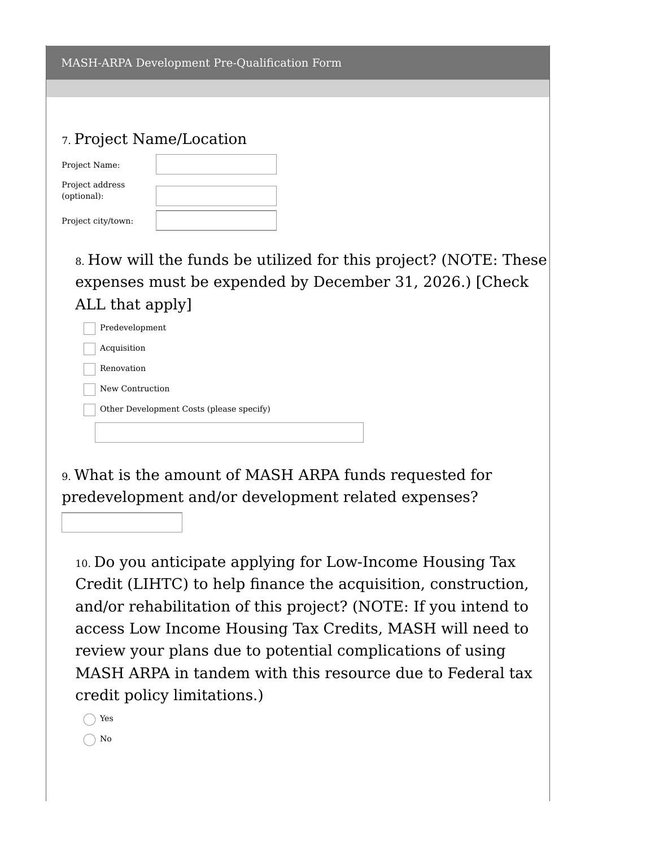| 7. Project Name/Location |  |  |  |  |  |
|--------------------------|--|--|--|--|--|
| Project Name:            |  |  |  |  |  |
| Project address          |  |  |  |  |  |

(optional):

Project city/town:

8. How will the funds be utilized for this project? (NOTE: These expenses must be expended by December 31, 2026.) [Check ALL that apply]

Predevelopment

Acquisition

Renovation

New Contruction

Other Development Costs (please specify)

9. What is the amount of MASH ARPA funds requested for predevelopment and/or development related expenses?

10. Do you anticipate applying for Low-Income Housing Tax Credit (LIHTC) to help finance the acquisition, construction, and/or rehabilitation of this project? (NOTE: If you intend to access Low Income Housing Tax Credits, MASH will need to review your plans due to potential complications of using MASH ARPA in tandem with this resource due to Federal tax credit policy limitations.)

Yes

 $\bigcap$  No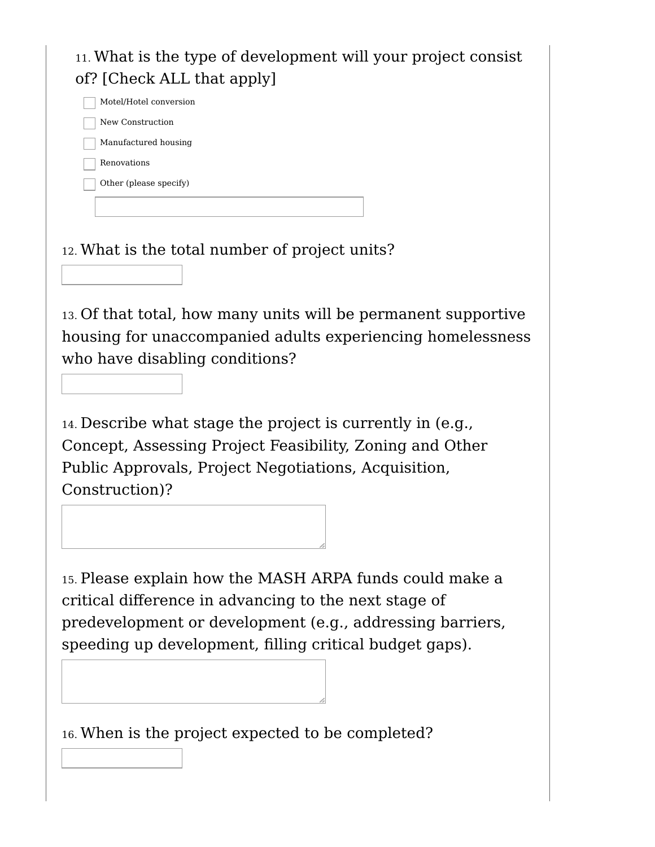11. What is the type of development will your project consist of? [Check ALL that apply] Motel/Hotel conversion New Construction Manufactured housing Renovations Other (please specify) 12. What is the total number of project units? 13. Of that total, how many units will be permanent supportive housing for unaccompanied adults experiencing homelessness who have disabling conditions? 14. Describe what stage the project is currently in (e.g., Concept, Assessing Project Feasibility, Zoning and Other Public Approvals, Project Negotiations, Acquisition, Construction)? 15. Please explain how the MASH ARPA funds could make a critical difference in advancing to the next stage of predevelopment or development (e.g., addressing barriers, speeding up development, filling critical budget gaps).

16. When is the project expected to be completed?